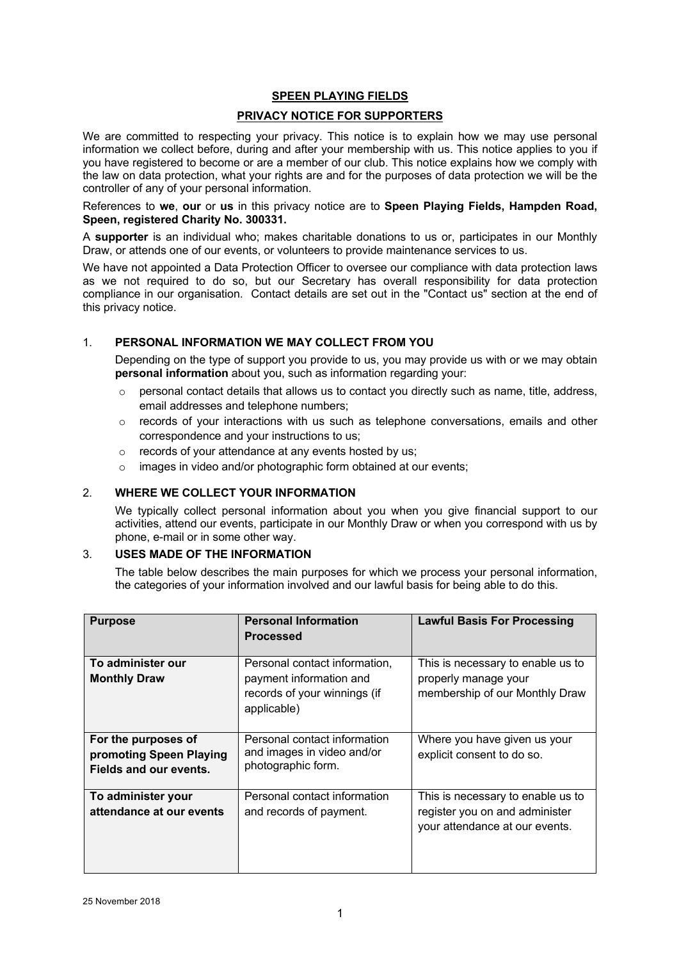## **SPEEN PLAYING FIELDS**

## **PRIVACY NOTICE FOR SUPPORTERS**

We are committed to respecting your privacy. This notice is to explain how we may use personal information we collect before, during and after your membership with us. This notice applies to you if you have registered to become or are a member of our club. This notice explains how we comply with the law on data protection, what your rights are and for the purposes of data protection we will be the controller of any of your personal information.

References to **we**, **our** or **us** in this privacy notice are to **Speen Playing Fields, Hampden Road, Speen, registered Charity No. 300331.**

A **supporter** is an individual who; makes charitable donations to us or, participates in our Monthly Draw, or attends one of our events, or volunteers to provide maintenance services to us.

We have not appointed a Data Protection Officer to oversee our compliance with data protection laws as we not required to do so, but our Secretary has overall responsibility for data protection compliance in our organisation. Contact details are set out in the "Contact us" section at the end of this privacy notice.

## 1. **PERSONAL INFORMATION WE MAY COLLECT FROM YOU**

Depending on the type of support you provide to us, you may provide us with or we may obtain **personal information** about you, such as information regarding your:

- $\circ$  personal contact details that allows us to contact you directly such as name, title, address, email addresses and telephone numbers;
- $\circ$  records of your interactions with us such as telephone conversations, emails and other correspondence and your instructions to us;
- o records of your attendance at any events hosted by us;
- o images in video and/or photographic form obtained at our events;

# 2. **WHERE WE COLLECT YOUR INFORMATION**

We typically collect personal information about you when you give financial support to our activities, attend our events, participate in our Monthly Draw or when you correspond with us by phone, e-mail or in some other way.

#### 3. **USES MADE OF THE INFORMATION**

The table below describes the main purposes for which we process your personal information, the categories of your information involved and our lawful basis for being able to do this.

| <b>Purpose</b>                                                           | <b>Personal Information</b><br><b>Processed</b>                                                         | <b>Lawful Basis For Processing</b>                                                                    |
|--------------------------------------------------------------------------|---------------------------------------------------------------------------------------------------------|-------------------------------------------------------------------------------------------------------|
| To administer our<br><b>Monthly Draw</b>                                 | Personal contact information,<br>payment information and<br>records of your winnings (if<br>applicable) | This is necessary to enable us to<br>properly manage your<br>membership of our Monthly Draw           |
| For the purposes of<br>promoting Speen Playing<br>Fields and our events. | Personal contact information<br>and images in video and/or<br>photographic form.                        | Where you have given us your<br>explicit consent to do so.                                            |
| To administer your<br>attendance at our events                           | Personal contact information<br>and records of payment.                                                 | This is necessary to enable us to<br>register you on and administer<br>your attendance at our events. |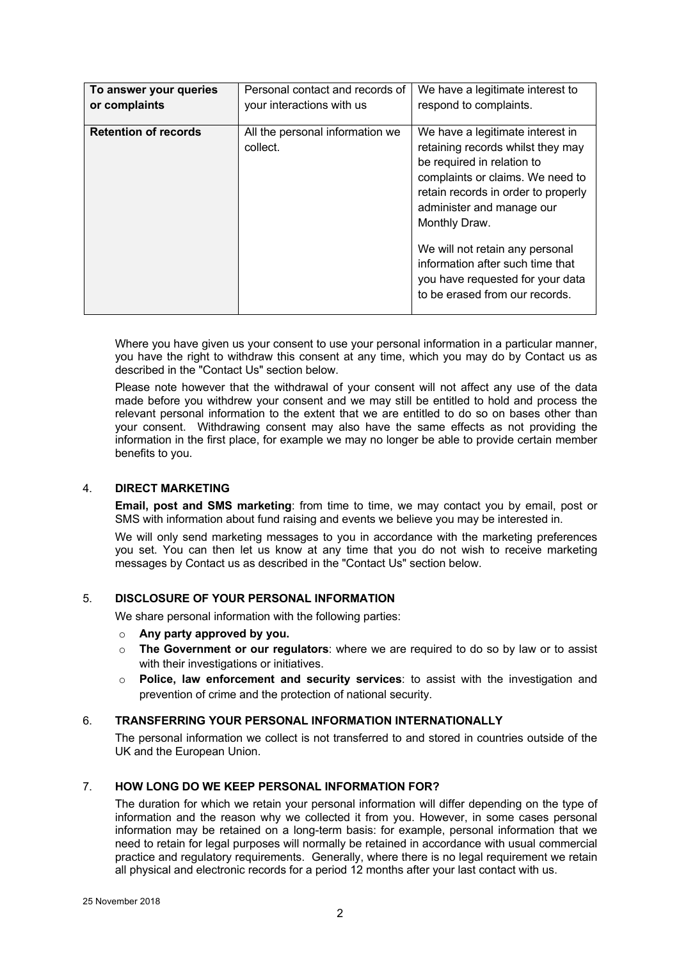| To answer your queries      | Personal contact and records of             | We have a legitimate interest to                                                                                                                                                                                                                                                                                                                                          |
|-----------------------------|---------------------------------------------|---------------------------------------------------------------------------------------------------------------------------------------------------------------------------------------------------------------------------------------------------------------------------------------------------------------------------------------------------------------------------|
| or complaints               | your interactions with us                   | respond to complaints.                                                                                                                                                                                                                                                                                                                                                    |
| <b>Retention of records</b> | All the personal information we<br>collect. | We have a legitimate interest in<br>retaining records whilst they may<br>be required in relation to<br>complaints or claims. We need to<br>retain records in order to properly<br>administer and manage our<br>Monthly Draw.<br>We will not retain any personal<br>information after such time that<br>you have requested for your data<br>to be erased from our records. |

Where you have given us your consent to use your personal information in a particular manner, you have the right to withdraw this consent at any time, which you may do by Contact us as described in the "Contact Us" section below.

Please note however that the withdrawal of your consent will not affect any use of the data made before you withdrew your consent and we may still be entitled to hold and process the relevant personal information to the extent that we are entitled to do so on bases other than your consent. Withdrawing consent may also have the same effects as not providing the information in the first place, for example we may no longer be able to provide certain member benefits to you.

## 4. **DIRECT MARKETING**

**Email, post and SMS marketing**: from time to time, we may contact you by email, post or SMS with information about fund raising and events we believe you may be interested in.

We will only send marketing messages to you in accordance with the marketing preferences you set. You can then let us know at any time that you do not wish to receive marketing messages by Contact us as described in the "Contact Us" section below.

#### 5. **DISCLOSURE OF YOUR PERSONAL INFORMATION**

We share personal information with the following parties:

- o **Any party approved by you.**
- o **The Government or our regulators**: where we are required to do so by law or to assist with their investigations or initiatives.
- o **Police, law enforcement and security services**: to assist with the investigation and prevention of crime and the protection of national security.

#### 6. **TRANSFERRING YOUR PERSONAL INFORMATION INTERNATIONALLY**

The personal information we collect is not transferred to and stored in countries outside of the UK and the European Union.

### 7. **HOW LONG DO WE KEEP PERSONAL INFORMATION FOR?**

The duration for which we retain your personal information will differ depending on the type of information and the reason why we collected it from you. However, in some cases personal information may be retained on a long-term basis: for example, personal information that we need to retain for legal purposes will normally be retained in accordance with usual commercial practice and regulatory requirements. Generally, where there is no legal requirement we retain all physical and electronic records for a period 12 months after your last contact with us.